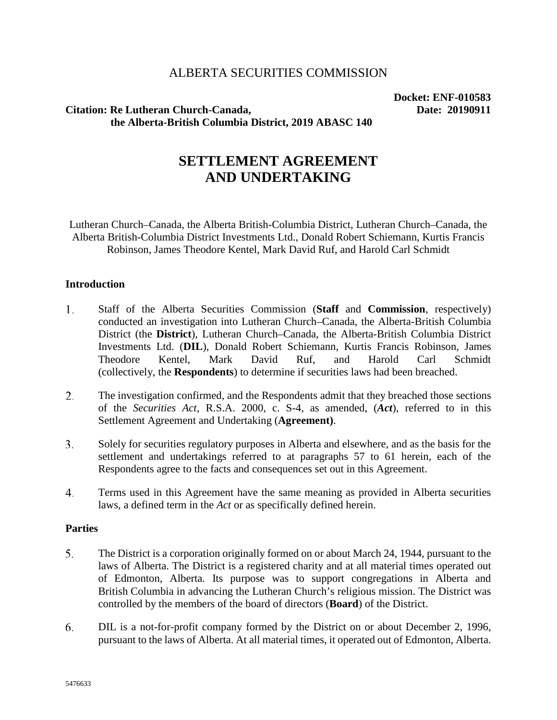## ALBERTA SECURITIES COMMISSION

# Citation: Re Lutheran Church-Canada, Date: 20190911 **the Alberta-British Columbia District, 2019 ABASC 140**

**Docket: ENF-010583**

# **SETTLEMENT AGREEMENT AND UNDERTAKING**

Lutheran Church–Canada, the Alberta British-Columbia District, Lutheran Church–Canada, the Alberta British-Columbia District Investments Ltd., Donald Robert Schiemann, Kurtis Francis Robinson, James Theodore Kentel, Mark David Ruf, and Harold Carl Schmidt

#### **Introduction**

- 1. Staff of the Alberta Securities Commission (**Staff** and **Commission**, respectively) conducted an investigation into Lutheran Church–Canada, the Alberta-British Columbia District (the **District**), Lutheran Church–Canada, the Alberta-British Columbia District Investments Ltd. (**DIL**), Donald Robert Schiemann, Kurtis Francis Robinson, James Theodore Kentel, Mark David Ruf, and Harold Carl Schmidt (collectively, the **Respondents**) to determine if securities laws had been breached.
- 2. The investigation confirmed, and the Respondents admit that they breached those sections of the *Securities Act*, R.S.A. 2000, c. S-4, as amended, (*Act*), referred to in this Settlement Agreement and Undertaking (**Agreement)**.
- 3. Solely for securities regulatory purposes in Alberta and elsewhere, and as the basis for the settlement and undertakings referred to at paragraphs 57 to 61 herein, each of the Respondents agree to the facts and consequences set out in this Agreement.
- 4. Terms used in this Agreement have the same meaning as provided in Alberta securities laws, a defined term in the *Act* or as specifically defined herein.

#### **Parties**

- 5. The District is a corporation originally formed on or about March 24, 1944, pursuant to the laws of Alberta. The District is a registered charity and at all material times operated out of Edmonton, Alberta. Its purpose was to support congregations in Alberta and British Columbia in advancing the Lutheran Church's religious mission. The District was controlled by the members of the board of directors (**Board**) of the District.
- 6. DIL is a not-for-profit company formed by the District on or about December 2, 1996, pursuant to the laws of Alberta. At all material times, it operated out of Edmonton, Alberta.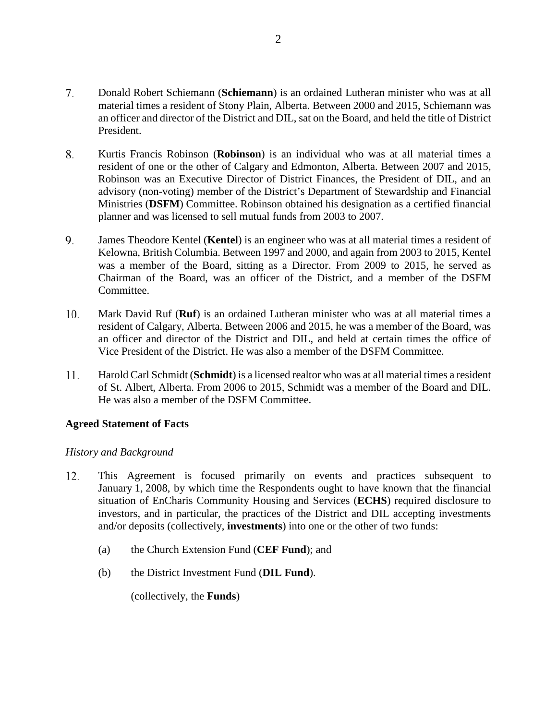- 7. Donald Robert Schiemann (**Schiemann**) is an ordained Lutheran minister who was at all material times a resident of Stony Plain, Alberta. Between 2000 and 2015, Schiemann was an officer and director of the District and DIL, sat on the Board, and held the title of District President.
- 8. Kurtis Francis Robinson (**Robinson**) is an individual who was at all material times a resident of one or the other of Calgary and Edmonton, Alberta. Between 2007 and 2015, Robinson was an Executive Director of District Finances, the President of DIL, and an advisory (non-voting) member of the District's Department of Stewardship and Financial Ministries (**DSFM**) Committee. Robinson obtained his designation as a certified financial planner and was licensed to sell mutual funds from 2003 to 2007.
- 9. James Theodore Kentel (**Kentel**) is an engineer who was at all material times a resident of Kelowna, British Columbia. Between 1997 and 2000, and again from 2003 to 2015, Kentel was a member of the Board, sitting as a Director. From 2009 to 2015, he served as Chairman of the Board, was an officer of the District, and a member of the DSFM Committee.
- Mark David Ruf (**Ruf**) is an ordained Lutheran minister who was at all material times a 10. resident of Calgary, Alberta. Between 2006 and 2015, he was a member of the Board, was an officer and director of the District and DIL, and held at certain times the office of Vice President of the District. He was also a member of the DSFM Committee.
- 11. Harold Carl Schmidt (**Schmidt**) is a licensed realtor who was at all material times a resident of St. Albert, Alberta. From 2006 to 2015, Schmidt was a member of the Board and DIL. He was also a member of the DSFM Committee.

### **Agreed Statement of Facts**

#### *History and Background*

- This Agreement is focused primarily on events and practices subsequent to 12. January 1, 2008, by which time the Respondents ought to have known that the financial situation of EnCharis Community Housing and Services (**ECHS**) required disclosure to investors, and in particular, the practices of the District and DIL accepting investments and/or deposits (collectively, **investments**) into one or the other of two funds:
	- (a) the Church Extension Fund (**CEF Fund**); and
	- (b) the District Investment Fund (**DIL Fund**).

(collectively, the **Funds**)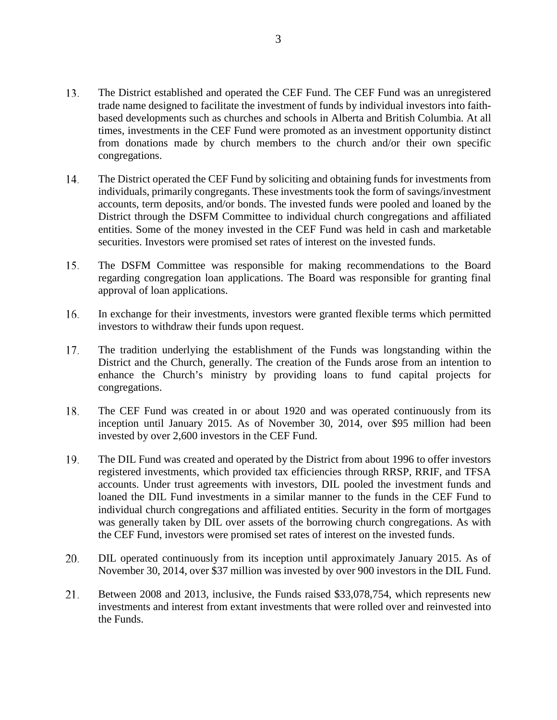- 13. The District established and operated the CEF Fund. The CEF Fund was an unregistered trade name designed to facilitate the investment of funds by individual investors into faithbased developments such as churches and schools in Alberta and British Columbia. At all times, investments in the CEF Fund were promoted as an investment opportunity distinct from donations made by church members to the church and/or their own specific congregations.
- 14. The District operated the CEF Fund by soliciting and obtaining funds for investments from individuals, primarily congregants. These investments took the form of savings/investment accounts, term deposits, and/or bonds. The invested funds were pooled and loaned by the District through the DSFM Committee to individual church congregations and affiliated entities. Some of the money invested in the CEF Fund was held in cash and marketable securities. Investors were promised set rates of interest on the invested funds.
- 15. The DSFM Committee was responsible for making recommendations to the Board regarding congregation loan applications. The Board was responsible for granting final approval of loan applications.
- In exchange for their investments, investors were granted flexible terms which permitted 16. investors to withdraw their funds upon request.
- 17. The tradition underlying the establishment of the Funds was longstanding within the District and the Church, generally. The creation of the Funds arose from an intention to enhance the Church's ministry by providing loans to fund capital projects for congregations.
- 18. The CEF Fund was created in or about 1920 and was operated continuously from its inception until January 2015. As of November 30, 2014, over \$95 million had been invested by over 2,600 investors in the CEF Fund.
- 19. The DIL Fund was created and operated by the District from about 1996 to offer investors registered investments, which provided tax efficiencies through RRSP, RRIF, and TFSA accounts. Under trust agreements with investors, DIL pooled the investment funds and loaned the DIL Fund investments in a similar manner to the funds in the CEF Fund to individual church congregations and affiliated entities. Security in the form of mortgages was generally taken by DIL over assets of the borrowing church congregations. As with the CEF Fund, investors were promised set rates of interest on the invested funds.
- 20. DIL operated continuously from its inception until approximately January 2015. As of November 30, 2014, over \$37 million was invested by over 900 investors in the DIL Fund.
- 21. Between 2008 and 2013, inclusive, the Funds raised \$33,078,754, which represents new investments and interest from extant investments that were rolled over and reinvested into the Funds.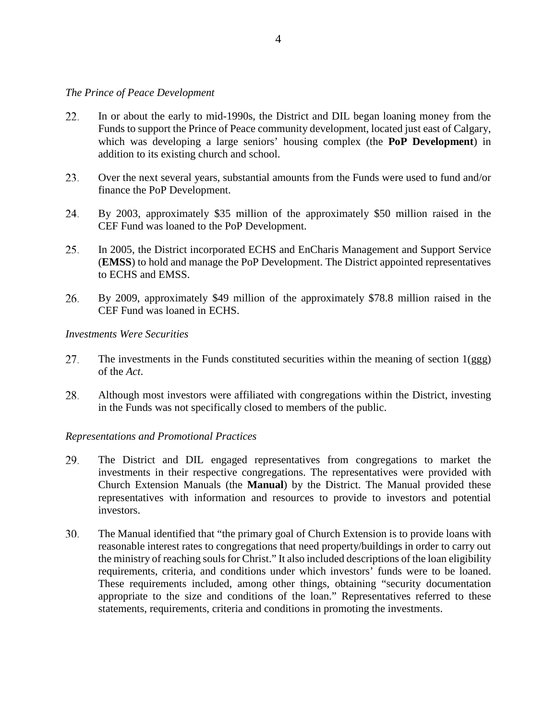#### *The Prince of Peace Development*

- 22. In or about the early to mid-1990s, the District and DIL began loaning money from the Funds to support the Prince of Peace community development, located just east of Calgary, which was developing a large seniors' housing complex (the **PoP Development**) in addition to its existing church and school.
- 23. Over the next several years, substantial amounts from the Funds were used to fund and/or finance the PoP Development.
- 24. By 2003, approximately \$35 million of the approximately \$50 million raised in the CEF Fund was loaned to the PoP Development.
- 25. In 2005, the District incorporated ECHS and EnCharis Management and Support Service (**EMSS**) to hold and manage the PoP Development. The District appointed representatives to ECHS and EMSS.
- 26. By 2009, approximately \$49 million of the approximately \$78.8 million raised in the CEF Fund was loaned in ECHS.

#### *Investments Were Securities*

- 27. The investments in the Funds constituted securities within the meaning of section 1(ggg) of the *Act*.
- 28. Although most investors were affiliated with congregations within the District, investing in the Funds was not specifically closed to members of the public.

#### *Representations and Promotional Practices*

- 29. The District and DIL engaged representatives from congregations to market the investments in their respective congregations. The representatives were provided with Church Extension Manuals (the **Manual**) by the District. The Manual provided these representatives with information and resources to provide to investors and potential investors.
- 30. The Manual identified that "the primary goal of Church Extension is to provide loans with reasonable interest rates to congregations that need property/buildings in order to carry out the ministry of reaching souls for Christ." It also included descriptions of the loan eligibility requirements, criteria, and conditions under which investors' funds were to be loaned. These requirements included, among other things, obtaining "security documentation appropriate to the size and conditions of the loan." Representatives referred to these statements, requirements, criteria and conditions in promoting the investments.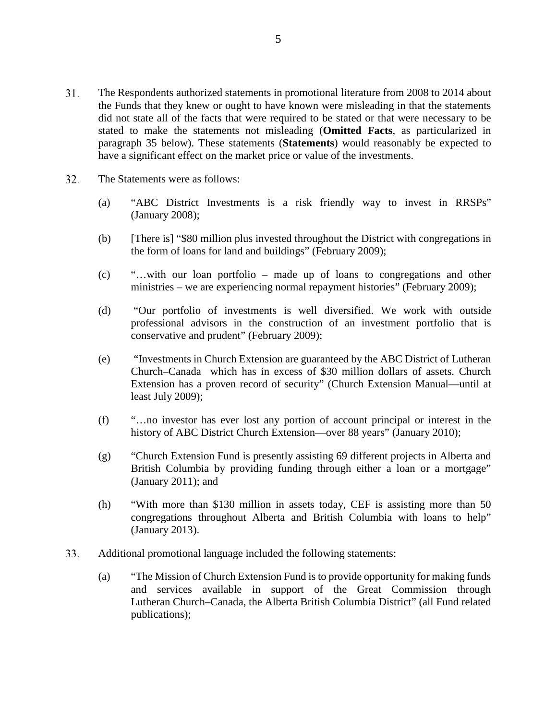- 31. The Respondents authorized statements in promotional literature from 2008 to 2014 about the Funds that they knew or ought to have known were misleading in that the statements did not state all of the facts that were required to be stated or that were necessary to be stated to make the statements not misleading (**Omitted Facts**, as particularized in paragraph 35 below). These statements (**Statements**) would reasonably be expected to have a significant effect on the market price or value of the investments.
- 32. The Statements were as follows:
	- (a) "ABC District Investments is a risk friendly way to invest in RRSPs" (January 2008);
	- (b) [There is] "\$80 million plus invested throughout the District with congregations in the form of loans for land and buildings" (February 2009);
	- (c) "…with our loan portfolio made up of loans to congregations and other ministries – we are experiencing normal repayment histories" (February 2009);
	- (d) "Our portfolio of investments is well diversified. We work with outside professional advisors in the construction of an investment portfolio that is conservative and prudent" (February 2009);
	- (e) "Investments in Church Extension are guaranteed by the ABC District of Lutheran Church–Canada which has in excess of \$30 million dollars of assets. Church Extension has a proven record of security" (Church Extension Manual—until at least July 2009);
	- (f) "…no investor has ever lost any portion of account principal or interest in the history of ABC District Church Extension—over 88 years" (January 2010);
	- (g) "Church Extension Fund is presently assisting 69 different projects in Alberta and British Columbia by providing funding through either a loan or a mortgage" (January 2011); and
	- (h) "With more than \$130 million in assets today, CEF is assisting more than 50 congregations throughout Alberta and British Columbia with loans to help" (January 2013).
- 33. Additional promotional language included the following statements:
	- (a) "The Mission of Church Extension Fund is to provide opportunity for making funds and services available in support of the Great Commission through Lutheran Church–Canada, the Alberta British Columbia District" (all Fund related publications);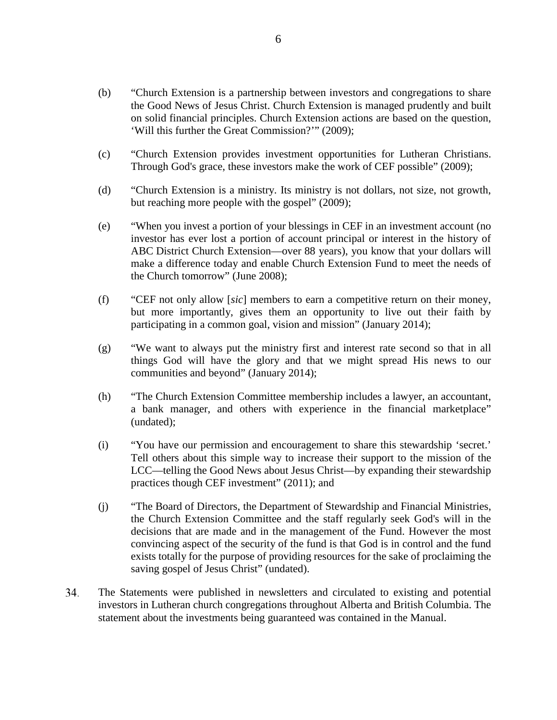- (b) "Church Extension is a partnership between investors and congregations to share the Good News of Jesus Christ. Church Extension is managed prudently and built on solid financial principles. Church Extension actions are based on the question, 'Will this further the Great Commission?'" (2009);
- (c) "Church Extension provides investment opportunities for Lutheran Christians. Through God's grace, these investors make the work of CEF possible" (2009);
- (d) "Church Extension is a ministry. Its ministry is not dollars, not size, not growth, but reaching more people with the gospel" (2009);
- (e) "When you invest a portion of your blessings in CEF in an investment account (no investor has ever lost a portion of account principal or interest in the history of ABC District Church Extension—over 88 years), you know that your dollars will make a difference today and enable Church Extension Fund to meet the needs of the Church tomorrow" (June 2008);
- (f) "CEF not only allow [*sic*] members to earn a competitive return on their money, but more importantly, gives them an opportunity to live out their faith by participating in a common goal, vision and mission" (January 2014);
- (g) "We want to always put the ministry first and interest rate second so that in all things God will have the glory and that we might spread His news to our communities and beyond" (January 2014);
- (h) "The Church Extension Committee membership includes a lawyer, an accountant, a bank manager, and others with experience in the financial marketplace" (undated);
- (i) "You have our permission and encouragement to share this stewardship 'secret.' Tell others about this simple way to increase their support to the mission of the LCC—telling the Good News about Jesus Christ—by expanding their stewardship practices though CEF investment" (2011); and
- (j) "The Board of Directors, the Department of Stewardship and Financial Ministries, the Church Extension Committee and the staff regularly seek God's will in the decisions that are made and in the management of the Fund. However the most convincing aspect of the security of the fund is that God is in control and the fund exists totally for the purpose of providing resources for the sake of proclaiming the saving gospel of Jesus Christ" (undated).
- 34. The Statements were published in newsletters and circulated to existing and potential investors in Lutheran church congregations throughout Alberta and British Columbia. The statement about the investments being guaranteed was contained in the Manual.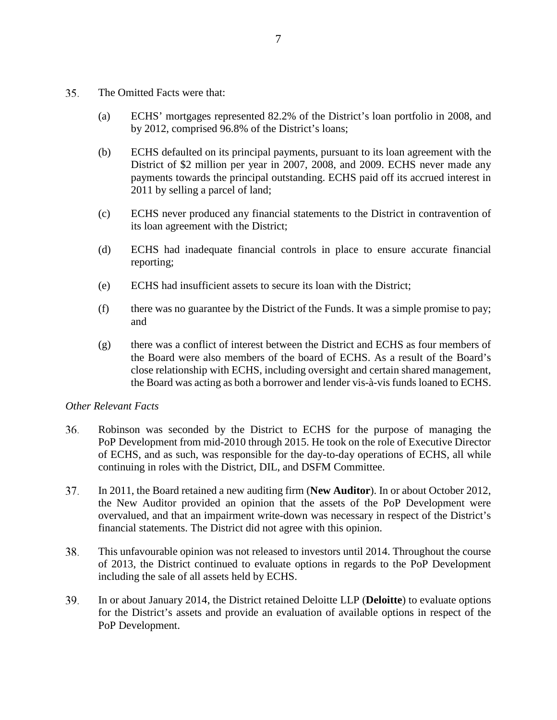- 35. The Omitted Facts were that:
	- (a) ECHS' mortgages represented 82.2% of the District's loan portfolio in 2008, and by 2012, comprised 96.8% of the District's loans;
	- (b) ECHS defaulted on its principal payments, pursuant to its loan agreement with the District of \$2 million per year in 2007, 2008, and 2009. ECHS never made any payments towards the principal outstanding. ECHS paid off its accrued interest in 2011 by selling a parcel of land;
	- (c) ECHS never produced any financial statements to the District in contravention of its loan agreement with the District;
	- (d) ECHS had inadequate financial controls in place to ensure accurate financial reporting;
	- (e) ECHS had insufficient assets to secure its loan with the District;
	- (f) there was no guarantee by the District of the Funds. It was a simple promise to pay; and
	- (g) there was a conflict of interest between the District and ECHS as four members of the Board were also members of the board of ECHS. As a result of the Board's close relationship with ECHS, including oversight and certain shared management, the Board was acting as both a borrower and lender vis-à-vis funds loaned to ECHS.

#### *Other Relevant Facts*

- 36. Robinson was seconded by the District to ECHS for the purpose of managing the PoP Development from mid-2010 through 2015. He took on the role of Executive Director of ECHS, and as such, was responsible for the day-to-day operations of ECHS, all while continuing in roles with the District, DIL, and DSFM Committee.
- 37. In 2011, the Board retained a new auditing firm (**New Auditor**). In or about October 2012, the New Auditor provided an opinion that the assets of the PoP Development were overvalued, and that an impairment write-down was necessary in respect of the District's financial statements. The District did not agree with this opinion.
- 38. This unfavourable opinion was not released to investors until 2014. Throughout the course of 2013, the District continued to evaluate options in regards to the PoP Development including the sale of all assets held by ECHS.
- 39. In or about January 2014, the District retained Deloitte LLP (**Deloitte**) to evaluate options for the District's assets and provide an evaluation of available options in respect of the PoP Development.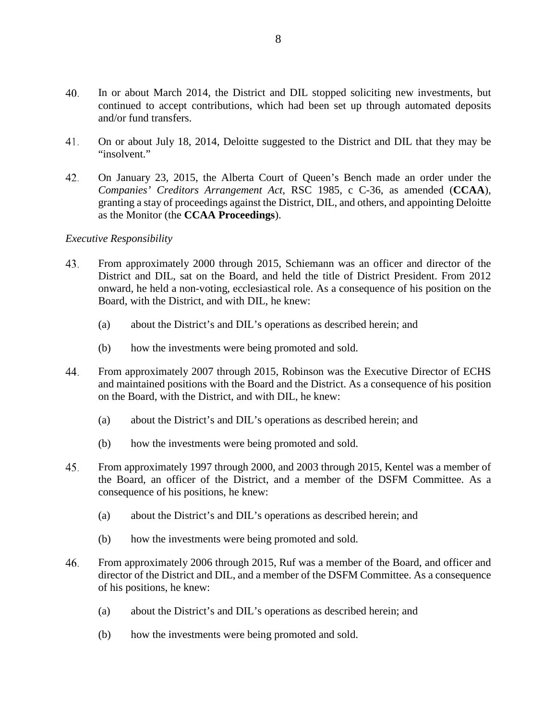- 40. In or about March 2014, the District and DIL stopped soliciting new investments, but continued to accept contributions, which had been set up through automated deposits and/or fund transfers.
- 41. On or about July 18, 2014, Deloitte suggested to the District and DIL that they may be "insolvent."
- 42. On January 23, 2015, the Alberta Court of Queen's Bench made an order under the *Companies' Creditors Arrangement Act*, RSC 1985, c C-36, as amended (**CCAA**), granting a stay of proceedings against the District, DIL, and others, and appointing Deloitte as the Monitor (the **CCAA Proceedings**).

#### *Executive Responsibility*

- 43. From approximately 2000 through 2015, Schiemann was an officer and director of the District and DIL, sat on the Board, and held the title of District President. From 2012 onward, he held a non-voting, ecclesiastical role. As a consequence of his position on the Board, with the District, and with DIL, he knew:
	- (a) about the District's and DIL's operations as described herein; and
	- (b) how the investments were being promoted and sold.
- 44. From approximately 2007 through 2015, Robinson was the Executive Director of ECHS and maintained positions with the Board and the District. As a consequence of his position on the Board, with the District, and with DIL, he knew:
	- (a) about the District's and DIL's operations as described herein; and
	- (b) how the investments were being promoted and sold.
- 45. From approximately 1997 through 2000, and 2003 through 2015, Kentel was a member of the Board, an officer of the District, and a member of the DSFM Committee. As a consequence of his positions, he knew:
	- (a) about the District's and DIL's operations as described herein; and
	- (b) how the investments were being promoted and sold.
- 46. From approximately 2006 through 2015, Ruf was a member of the Board, and officer and director of the District and DIL, and a member of the DSFM Committee. As a consequence of his positions, he knew:
	- (a) about the District's and DIL's operations as described herein; and
	- (b) how the investments were being promoted and sold.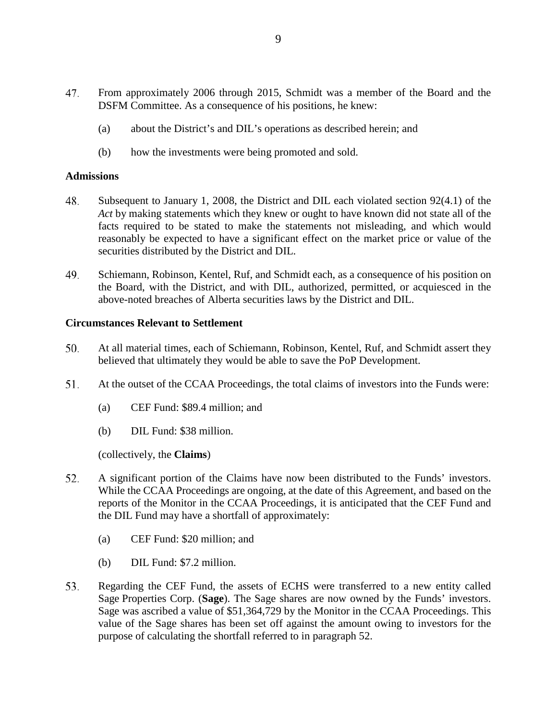- 47. From approximately 2006 through 2015, Schmidt was a member of the Board and the DSFM Committee. As a consequence of his positions, he knew:
	- (a) about the District's and DIL's operations as described herein; and
	- (b) how the investments were being promoted and sold.

#### **Admissions**

- 48. Subsequent to January 1, 2008, the District and DIL each violated section 92(4.1) of the *Act* by making statements which they knew or ought to have known did not state all of the facts required to be stated to make the statements not misleading, and which would reasonably be expected to have a significant effect on the market price or value of the securities distributed by the District and DIL.
- 49. Schiemann, Robinson, Kentel, Ruf, and Schmidt each, as a consequence of his position on the Board, with the District, and with DIL, authorized, permitted, or acquiesced in the above-noted breaches of Alberta securities laws by the District and DIL.

#### **Circumstances Relevant to Settlement**

- 50. At all material times, each of Schiemann, Robinson, Kentel, Ruf, and Schmidt assert they believed that ultimately they would be able to save the PoP Development.
- 51. At the outset of the CCAA Proceedings, the total claims of investors into the Funds were:
	- (a) CEF Fund: \$89.4 million; and
	- (b) DIL Fund: \$38 million.

(collectively, the **Claims**)

- 52. A significant portion of the Claims have now been distributed to the Funds' investors. While the CCAA Proceedings are ongoing, at the date of this Agreement, and based on the reports of the Monitor in the CCAA Proceedings, it is anticipated that the CEF Fund and the DIL Fund may have a shortfall of approximately:
	- (a) CEF Fund: \$20 million; and
	- (b) DIL Fund: \$7.2 million.
- 53. Regarding the CEF Fund, the assets of ECHS were transferred to a new entity called Sage Properties Corp. (**Sage**). The Sage shares are now owned by the Funds' investors. Sage was ascribed a value of \$51,364,729 by the Monitor in the CCAA Proceedings. This value of the Sage shares has been set off against the amount owing to investors for the purpose of calculating the shortfall referred to in paragraph 52.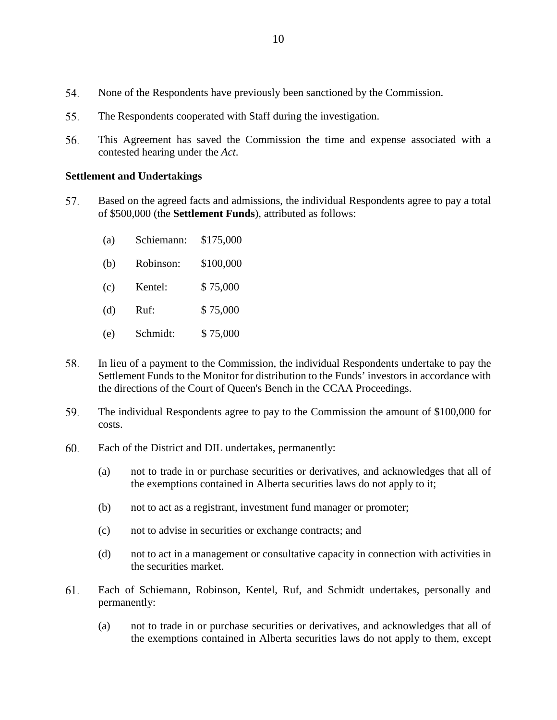- 54. None of the Respondents have previously been sanctioned by the Commission.
- 55. The Respondents cooperated with Staff during the investigation.
- 56. This Agreement has saved the Commission the time and expense associated with a contested hearing under the *Act*.

#### **Settlement and Undertakings**

- 57. Based on the agreed facts and admissions, the individual Respondents agree to pay a total of \$500,000 (the **Settlement Funds**), attributed as follows:
	- (a) Schiemann: \$175,000
	- (b) Robinson: \$100,000
	- (c) Kentel: \$ 75,000
	- (d) Ruf: \$ 75,000
	- (e) Schmidt: \$ 75,000
- 58. In lieu of a payment to the Commission, the individual Respondents undertake to pay the Settlement Funds to the Monitor for distribution to the Funds' investors in accordance with the directions of the Court of Queen's Bench in the CCAA Proceedings.
- 59. The individual Respondents agree to pay to the Commission the amount of \$100,000 for costs.
- 60. Each of the District and DIL undertakes, permanently:
	- (a) not to trade in or purchase securities or derivatives, and acknowledges that all of the exemptions contained in Alberta securities laws do not apply to it;
	- (b) not to act as a registrant, investment fund manager or promoter;
	- (c) not to advise in securities or exchange contracts; and
	- (d) not to act in a management or consultative capacity in connection with activities in the securities market.
- 61. Each of Schiemann, Robinson, Kentel, Ruf, and Schmidt undertakes, personally and permanently:
	- (a) not to trade in or purchase securities or derivatives, and acknowledges that all of the exemptions contained in Alberta securities laws do not apply to them, except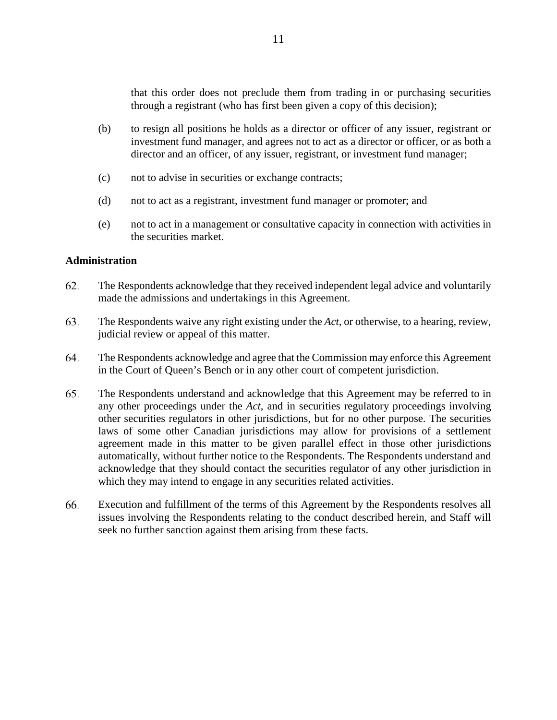that this order does not preclude them from trading in or purchasing securities through a registrant (who has first been given a copy of this decision);

- (b) to resign all positions he holds as a director or officer of any issuer, registrant or investment fund manager, and agrees not to act as a director or officer, or as both a director and an officer, of any issuer, registrant, or investment fund manager;
- (c) not to advise in securities or exchange contracts;
- (d) not to act as a registrant, investment fund manager or promoter; and
- (e) not to act in a management or consultative capacity in connection with activities in the securities market.

#### **Administration**

- 62. The Respondents acknowledge that they received independent legal advice and voluntarily made the admissions and undertakings in this Agreement.
- 63. The Respondents waive any right existing under the *Act*, or otherwise, to a hearing, review, judicial review or appeal of this matter.
- The Respondents acknowledge and agree that the Commission may enforce this Agreement 64. in the Court of Queen's Bench or in any other court of competent jurisdiction.
- 65. The Respondents understand and acknowledge that this Agreement may be referred to in any other proceedings under the *Act*, and in securities regulatory proceedings involving other securities regulators in other jurisdictions, but for no other purpose. The securities laws of some other Canadian jurisdictions may allow for provisions of a settlement agreement made in this matter to be given parallel effect in those other jurisdictions automatically, without further notice to the Respondents. The Respondents understand and acknowledge that they should contact the securities regulator of any other jurisdiction in which they may intend to engage in any securities related activities.
- 66. Execution and fulfillment of the terms of this Agreement by the Respondents resolves all issues involving the Respondents relating to the conduct described herein, and Staff will seek no further sanction against them arising from these facts.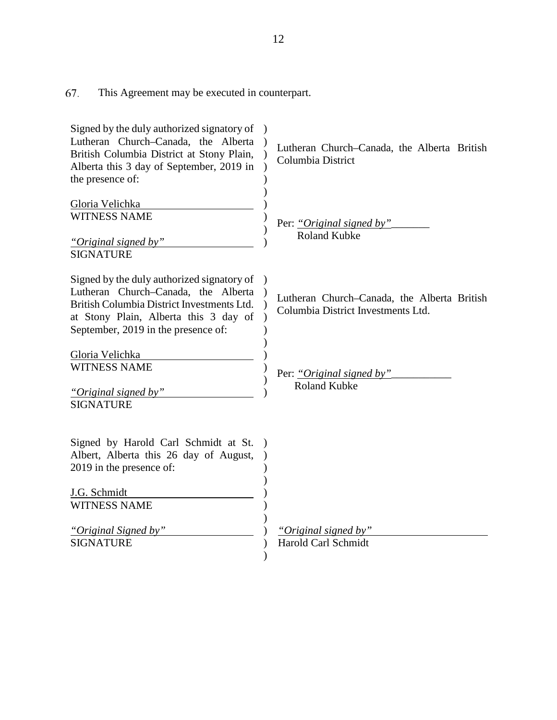67. This Agreement may be executed in counterpart.

| Signed by the duly authorized signatory of<br>Lutheran Church-Canada, the Alberta<br>British Columbia District at Stony Plain,<br>Alberta this 3 day of September, 2019 in<br>the presence of:                  | Lutheran Church–Canada, the Alberta British<br>Columbia District                  |
|-----------------------------------------------------------------------------------------------------------------------------------------------------------------------------------------------------------------|-----------------------------------------------------------------------------------|
| Gloria Velichka<br><b>WITNESS NAME</b><br>"Original signed by"<br><b>SIGNATURE</b>                                                                                                                              | Per: "Original signed by"<br><b>Roland Kubke</b>                                  |
| Signed by the duly authorized signatory of<br>Lutheran Church-Canada, the Alberta<br>British Columbia District Investments Ltd.<br>at Stony Plain, Alberta this 3 day of<br>September, 2019 in the presence of: | Lutheran Church-Canada, the Alberta British<br>Columbia District Investments Ltd. |
| Gloria Velichka<br><b>WITNESS NAME</b><br>"Original signed by"<br><b>SIGNATURE</b>                                                                                                                              | Per: "Original signed by"<br><b>Roland Kubke</b>                                  |
| Signed by Harold Carl Schmidt at St.<br>Albert, Alberta this 26 day of August,<br>2019 in the presence of:                                                                                                      |                                                                                   |
| J.G. Schmidt<br><b>WITNESS NAME</b>                                                                                                                                                                             |                                                                                   |
| "Original Signed by"<br><b>SIGNATURE</b>                                                                                                                                                                        | "Original signed by"<br>Harold Carl Schmidt                                       |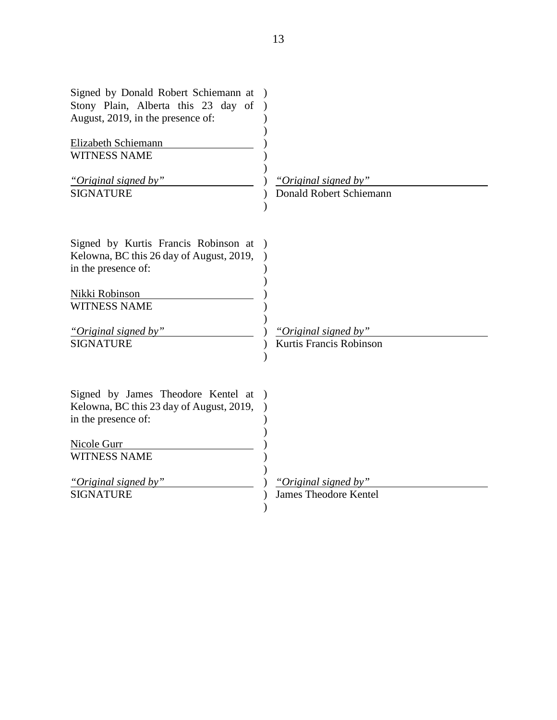| Signed by Donald Robert Schiemann at<br>Stony Plain, Alberta this 23 day of<br>August, 2019, in the presence of: |                              |
|------------------------------------------------------------------------------------------------------------------|------------------------------|
| Elizabeth Schiemann                                                                                              |                              |
| <b>WITNESS NAME</b>                                                                                              |                              |
| "Original signed by"                                                                                             | "Original signed by"         |
| <b>SIGNATURE</b>                                                                                                 | Donald Robert Schiemann      |
| Signed by Kurtis Francis Robinson at<br>Kelowna, BC this 26 day of August, 2019,<br>in the presence of:          |                              |
| Nikki Robinson                                                                                                   |                              |
| <b>WITNESS NAME</b>                                                                                              |                              |
| "Original signed by"                                                                                             | "Original signed by"         |
| <b>SIGNATURE</b>                                                                                                 | Kurtis Francis Robinson      |
| Signed by James Theodore Kentel at<br>Kelowna, BC this 23 day of August, 2019,<br>in the presence of:            |                              |
| Nicole Gurr                                                                                                      |                              |
| <b>WITNESS NAME</b>                                                                                              |                              |
| "Original signed by"                                                                                             | "Original signed by"         |
| <b>SIGNATURE</b>                                                                                                 | <b>James Theodore Kentel</b> |
|                                                                                                                  |                              |